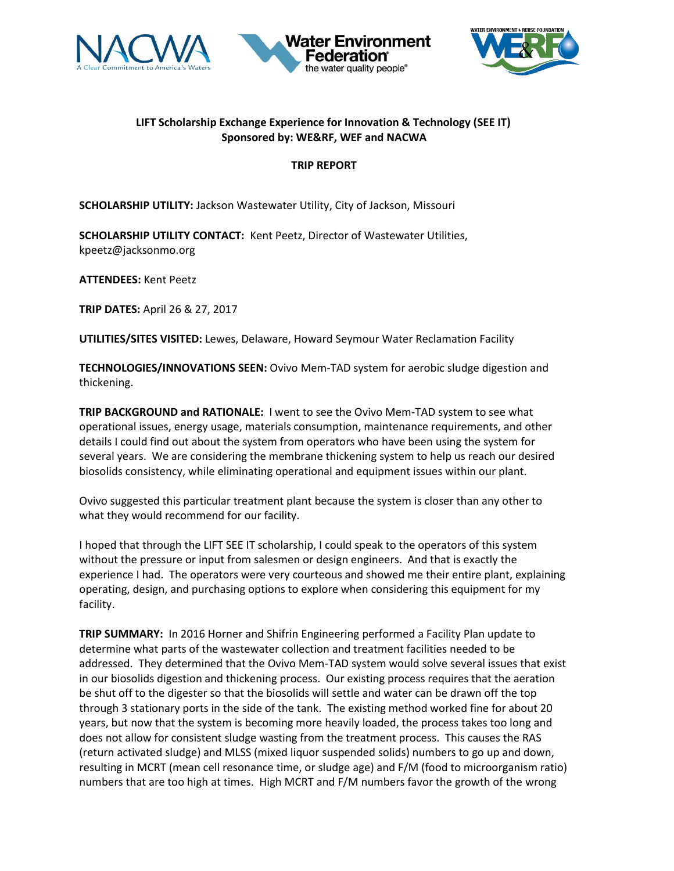





## **LIFT Scholarship Exchange Experience for Innovation & Technology (SEE IT) Sponsored by: WE&RF, WEF and NACWA**

## **TRIP REPORT**

**SCHOLARSHIP UTILITY:** Jackson Wastewater Utility, City of Jackson, Missouri

**SCHOLARSHIP UTILITY CONTACT:** Kent Peetz, Director of Wastewater Utilities, kpeetz@jacksonmo.org

**ATTENDEES:** Kent Peetz

**TRIP DATES:** April 26 & 27, 2017

**UTILITIES/SITES VISITED:** Lewes, Delaware, Howard Seymour Water Reclamation Facility

**TECHNOLOGIES/INNOVATIONS SEEN:** Ovivo Mem-TAD system for aerobic sludge digestion and thickening.

**TRIP BACKGROUND and RATIONALE:** I went to see the Ovivo Mem-TAD system to see what operational issues, energy usage, materials consumption, maintenance requirements, and other details I could find out about the system from operators who have been using the system for several years. We are considering the membrane thickening system to help us reach our desired biosolids consistency, while eliminating operational and equipment issues within our plant.

Ovivo suggested this particular treatment plant because the system is closer than any other to what they would recommend for our facility.

I hoped that through the LIFT SEE IT scholarship, I could speak to the operators of this system without the pressure or input from salesmen or design engineers. And that is exactly the experience I had. The operators were very courteous and showed me their entire plant, explaining operating, design, and purchasing options to explore when considering this equipment for my facility.

**TRIP SUMMARY:** In 2016 Horner and Shifrin Engineering performed a Facility Plan update to determine what parts of the wastewater collection and treatment facilities needed to be addressed. They determined that the Ovivo Mem-TAD system would solve several issues that exist in our biosolids digestion and thickening process. Our existing process requires that the aeration be shut off to the digester so that the biosolids will settle and water can be drawn off the top through 3 stationary ports in the side of the tank. The existing method worked fine for about 20 years, but now that the system is becoming more heavily loaded, the process takes too long and does not allow for consistent sludge wasting from the treatment process. This causes the RAS (return activated sludge) and MLSS (mixed liquor suspended solids) numbers to go up and down, resulting in MCRT (mean cell resonance time, or sludge age) and F/M (food to microorganism ratio) numbers that are too high at times. High MCRT and F/M numbers favor the growth of the wrong